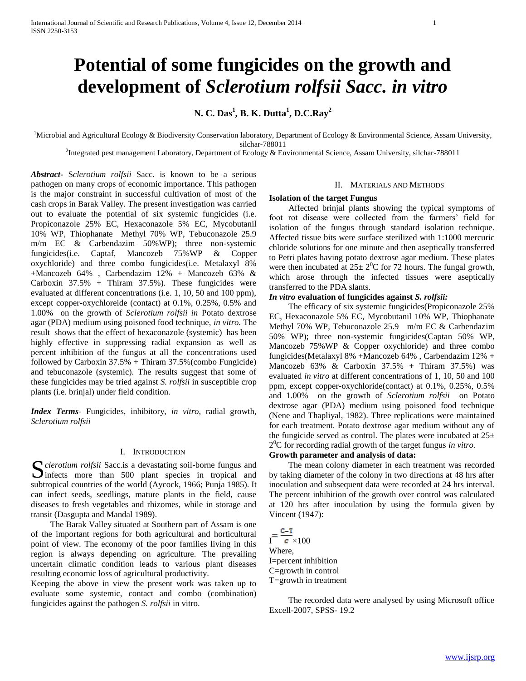# **Potential of some fungicides on the growth and development of** *Sclerotium rolfsii Sacc. in vitro*

**N. C. Das<sup>1</sup> , B. K. Dutta<sup>1</sup> , D.C.Ray<sup>2</sup>**

<sup>1</sup>Microbial and Agricultural Ecology & Biodiversity Conservation laboratory, Department of Ecology & Environmental Science, Assam University, silchar-788011

<sup>2</sup>Integrated pest management Laboratory, Department of Ecology & Environmental Science, Assam University, silchar-788011

*Abstract***-** S*clerotium rolfsii* Sacc. is known to be a serious pathogen on many crops of economic importance. This pathogen is the major constraint in successful cultivation of most of the cash crops in Barak Valley. The present investigation was carried out to evaluate the potential of six systemic fungicides (i.e. Propiconazole 25% EC, Hexaconazole 5% EC, Mycobutanil 10% WP, Thiophanate Methyl 70% WP, Tebuconazole 25.9 m/m EC & Carbendazim 50%WP); three non-systemic fungicides(i.e. Captaf, Mancozeb 75%WP & Copper oxychloride) and three combo fungicides(i.e. Metalaxyl 8% +Mancozeb 64% , Carbendazim 12% + Mancozeb 63% & Carboxin  $37.5\%$  + Thiram  $37.5\%$ ). These fungicides were evaluated at different concentrations (i.e. 1, 10, 50 and 100 ppm), except copper-oxychloreide (contact) at 0.1%, 0.25%, 0.5% and 1.00% on the growth of *Sclerotium rolfsii in* Potato dextrose agar (PDA) medium using poisoned food technique, *in vitro.* The result shows that the effect of hexaconazole (systemic) has been highly effective in suppressing radial expansion as well as percent inhibition of the fungus at all the concentrations used followed by Carboxin  $37.5%$  + Thiram  $37.5%$  (combo Fungicide) and tebuconazole (systemic). The results suggest that some of these fungicides may be tried against *S. rolfsii* in susceptible crop plants (i.e. brinjal) under field condition.

*Index Terms*- Fungicides, inhibitory, *in vitro*, radial growth, *Sclerotium rolfsii*

#### I. INTRODUCTION

*clerotium rolfsii* Sacc.is a devastating soil-borne fungus and S clerotium rolfsii Sacc.is a devastating soil-borne fungus and infects more than 500 plant species in tropical and subtropical countries of the world (Aycock, 1966; Punja 1985). It can infect seeds, seedlings, mature plants in the field, cause diseases to fresh vegetables and rhizomes, while in storage and transit (Dasgupta and Mandal 1989).

 The Barak Valley situated at Southern part of Assam is one of the important regions for both agricultural and horticultural point of view. The economy of the poor families living in this region is always depending on agriculture. The prevailing uncertain climatic condition leads to various plant diseases resulting economic loss of agricultural productivity.

Keeping the above in view the present work was taken up to evaluate some systemic, contact and combo (combination) fungicides against the pathogen *S. rolfsii* in vitro.

#### II. MATERIALS AND METHODS

### **Isolation of the target Fungus**

 Affected brinjal plants showing the typical symptoms of foot rot disease were collected from the farmers' field for isolation of the fungus through standard isolation technique. Affected tissue bits were surface sterilized with 1:1000 mercuric chloride solutions for one minute and then aseptically transferred to Petri plates having potato dextrose agar medium. These plates were then incubated at  $25 \pm 2^{0}C$  for 72 hours. The fungal growth, which arose through the infected tissues were aseptically transferred to the PDA slants.

## *In vitro* **evaluation of fungicides against** *S. rolfsii:*

 The efficacy of six systemic fungicides(Propiconazole 25% EC, Hexaconazole 5% EC, Mycobutanil 10% WP, Thiophanate Methyl 70% WP, Tebuconazole 25.9 m/m EC & Carbendazim 50% WP); three non-systemic fungicides(Captan 50% WP, Mancozeb 75%WP & Copper oxychloride) and three combo fungicides(Metalaxyl 8% +Mancozeb 64% , Carbendazim 12% + Mancozeb  $63\%$  & Carboxin  $37.5\%$  + Thiram  $37.5\%$ ) was evaluated *in vitro* at different concentrations of 1, 10, 50 and 100 ppm, except copper-oxychloride(contact) at 0.1%, 0.25%, 0.5% and 1.00% on the growth of *Sclerotium rolfsii* on Potato dextrose agar (PDA) medium using poisoned food technique (Nene and Thapliyal, 1982). Three replications were maintained for each treatment. Potato dextrose agar medium without any of the fungicide served as control. The plates were incubated at  $25\pm$ 2 <sup>0</sup>C for recording radial growth of the target fungus *in vitro.*

## **Growth parameter and analysis of data:**

 The mean colony diameter in each treatment was recorded by taking diameter of the colony in two directions at 48 hrs after inoculation and subsequent data were recorded at 24 hrs interval. The percent inhibition of the growth over control was calculated at 120 hrs after inoculation by using the formula given by Vincent (1947):

 $I = \frac{C-T}{C \times 100}$ Where, I=percent inhibition C=growth in control T=growth in treatment

 The recorded data were analysed by using Microsoft office Excell-2007, SPSS- 19.2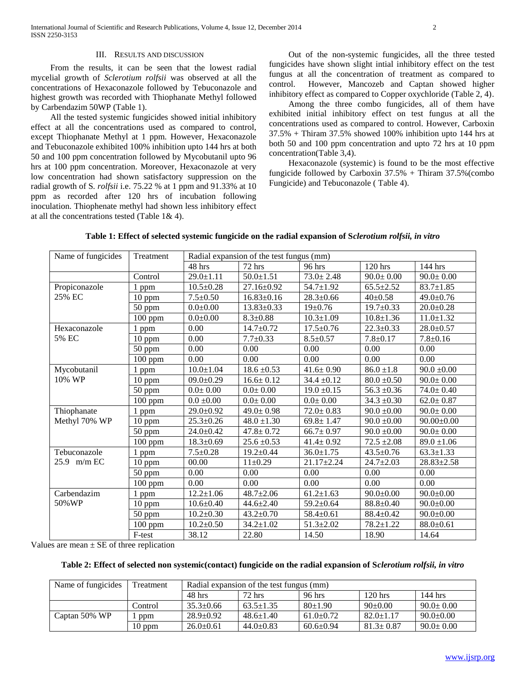#### III. RESULTS AND DISCUSSION

 From the results, it can be seen that the lowest radial mycelial growth of *Sclerotium rolfsii* was observed at all the concentrations of Hexaconazole followed by Tebuconazole and highest growth was recorded with Thiophanate Methyl followed by Carbendazim 50WP (Table 1).

 All the tested systemic fungicides showed initial inhibitory effect at all the concentrations used as compared to control, except Thiophanate Methyl at 1 ppm. However, Hexaconazole and Tebuconazole exhibited 100% inhibition upto 144 hrs at both 50 and 100 ppm concentration followed by Mycobutanil upto 96 hrs at 100 ppm concentration. Moreover, Hexaconazole at very low concentration had shown satisfactory suppression on the radial growth of S*. rolfsii* i.e. 75.22 % at 1 ppm and 91.33% at 10 ppm as recorded after 120 hrs of incubation following inoculation. Thiophenate methyl had shown less inhibitory effect at all the concentrations tested (Table 1& 4).

 Out of the non-systemic fungicides, all the three tested fungicides have shown slight intial inhibitory effect on the test fungus at all the concentration of treatment as compared to control. However, Mancozeb and Captan showed higher inhibitory effect as compared to Copper oxychloride (Table 2, 4).

 Among the three combo fungicides, all of them have exhibited initial inhibitory effect on test fungus at all the concentrations used as compared to control. However, Carboxin  $37.5\%$  + Thiram 37.5% showed 100% inhibition upto 144 hrs at both 50 and 100 ppm concentration and upto 72 hrs at 10 ppm concentration(Table 3,4).

 Hexaconazole (systemic) is found to be the most effective fungicide followed by Carboxin  $37.5%$  + Thiram  $37.5%$  (combo Fungicide) and Tebuconazole ( Table 4).

| Name of fungicides | Treatment | Radial expansion of the test fungus (mm) |                  |                 |                 |                  |
|--------------------|-----------|------------------------------------------|------------------|-----------------|-----------------|------------------|
|                    |           | 48 hrs                                   | 72 hrs           | 96 hrs          | 120 hrs         | 144 hrs          |
|                    | Control   | $29.0 \pm 1.11$                          | $50.0 \pm 1.51$  | $73.0 \pm 2.48$ | $90.0 \pm 0.00$ | $90.0 \pm 0.00$  |
| Propiconazole      | 1 ppm     | $10.5 \pm 0.28$                          | 27.16±0.92       | $54.7 \pm 1.92$ | $65.5 \pm 2.52$ | $83.7 \pm 1.85$  |
| 25% EC             | 10 ppm    | $7.5 \pm 0.50$                           | $16.83 \pm 0.16$ | $28.3 \pm 0.66$ | $40 \pm 0.58$   | $49.0 \pm 0.76$  |
|                    | 50 ppm    | $0.0 + 0.00$                             | $13.83 \pm 0.33$ | $19 \pm 0.76$   | $19.7 \pm 0.33$ | $20.0 \pm 0.28$  |
|                    | 100 ppm   | $0.0 + 0.00$                             | $8.3 \pm 0.88$   | $10.3 \pm 1.09$ | $10.8 \pm 1.36$ | $11.0 \pm 1.32$  |
| Hexaconazole       | 1 ppm     | 0.00                                     | $14.7 \pm 0.72$  | $17.5 \pm 0.76$ | $22.3 \pm 0.33$ | $28.0 \pm 0.57$  |
| 5% EC              | 10 ppm    | 0.00                                     | $7.7 \pm 0.33$   | $8.5 \pm 0.57$  | $7.8 + 0.17$    | $7.8 \pm 0.16$   |
|                    | 50 ppm    | 0.00                                     | 0.00             | 0.00            | 0.00            | 0.00             |
|                    | 100 ppm   | 0.00                                     | 0.00             | 0.00            | 0.00            | 0.00             |
| Mycobutanil        | 1 ppm     | $10.0 \pm 1.04$                          | $18.6 \pm 0.53$  | $41.6 \pm 0.90$ | $86.0 \pm 1.8$  | $90.0 \pm 0.00$  |
| 10% WP             | 10 ppm    | $09.0 \pm 0.29$                          | $16.6 \pm 0.12$  | $34.4 \pm 0.12$ | $80.0 \pm 0.50$ | $90.0 \pm 0.00$  |
|                    | 50 ppm    | $0.0 \pm 0.00$                           | $0.0 \pm 0.00$   | $19.0 \pm 0.15$ | $56.3 \pm 0.36$ | $74.0 \pm 0.40$  |
|                    | $100$ ppm | $0.0\pm0.00$                             | $0.0 \pm 0.00$   | $0.0 \pm 0.00$  | $34.3 \pm 0.30$ | $62.0 \pm 0.87$  |
| Thiophanate        | 1 ppm     | $29.0 \pm 0.92$                          | $49.0 \pm 0.98$  | $72.0 \pm 0.83$ | $90.0 \pm 0.00$ | $90.0 \pm 0.00$  |
| Methyl 70% WP      | 10 ppm    | $25.3 \pm 0.26$                          | $48.0 \pm 1.30$  | $69.8 \pm 1.47$ | $90.0 \pm 0.00$ | $90.00 \pm 0.00$ |
|                    | 50 ppm    | $24.0 \pm 0.42$                          | $47.8 \pm 0.72$  | $66.7 \pm 0.97$ | $90.0 \pm 0.00$ | $90.0 \pm 0.00$  |
|                    | $100$ ppm | $18.3 \pm 0.69$                          | $25.6 \pm 0.53$  | $41.4 \pm 0.92$ | $72.5 \pm 2.08$ | $89.0 \pm 1.06$  |
| Tebuconazole       | 1 ppm     | $7.5 \pm 0.28$                           | $19.2 \pm 0.44$  | $36.0 \pm 1.75$ | $43.5 \pm 0.76$ | $63.3 \pm 1.33$  |
| $25.9$ m/m EC      | 10 ppm    | 00.00                                    | $11\pm0.29$      | $21.17 + 2.24$  | $24.7 \pm 2.03$ | $28.83 \pm 2.58$ |
|                    | 50 ppm    | 0.00                                     | 0.00             | 0.00            | 0.00            | 0.00             |
|                    | 100 ppm   | 0.00                                     | 0.00             | 0.00            | 0.00            | 0.00             |
| Carbendazim        | 1 ppm     | $12.2 \pm 1.06$                          | $48.7 \pm 2.06$  | $61.2 \pm 1.63$ | $90.0 \pm 0.00$ | $90.0 \pm 0.00$  |
| 50%WP              | $10$ ppm  | $10.6 \pm 0.40$                          | $44.6 \pm 2.40$  | $59.2 \pm 0.64$ | $88.8 \pm 0.40$ | $90.0 \pm 0.00$  |
|                    | 50 ppm    | $\overline{10.2}$ ±0.30                  | $43.2 \pm 0.70$  | $58.4 \pm 0.61$ | $88.4 \pm 0.42$ | $90.0 \pm 0.00$  |
|                    | $100$ ppm | $10.2 \pm 0.50$                          | $34.2 \pm 1.02$  | $51.3 \pm 2.02$ | $78.2 \pm 1.22$ | $88.0 \pm 0.61$  |
|                    | F-test    | 38.12                                    | 22.80            | 14.50           | 18.90           | 14.64            |

| Table 1: Effect of selected systemic fungicide on the radial expansion of Sclerotium rolfsii, in vitro |  |  |
|--------------------------------------------------------------------------------------------------------|--|--|
|                                                                                                        |  |  |

Values are mean  $\pm$  SE of three replication

#### **Table 2: Effect of selected non systemic(contact) fungicide on the radial expansion of S***clerotium rolfsii, in vitro*

| Name of fungicides | Treatment | Radial expansion of the test fungus (mm) |                 |                 |                 |                 |
|--------------------|-----------|------------------------------------------|-----------------|-----------------|-----------------|-----------------|
|                    |           | 48 hrs                                   | 72 hrs          | 96 hrs          | $120$ hrs       | $144$ hrs       |
|                    | Control   | $35.3 \pm 0.66$                          | $63.5 \pm 1.35$ | $80+1.90$       | $90 \pm 0.00$   | $90.0 \pm 0.00$ |
| Captan 50% WP      | ppm       | $28.9 \pm 0.92$                          | $48.6 \pm 1.40$ | $61.0+0.72$     | $82.0 \pm 1.17$ | $90.0 \pm 0.00$ |
|                    | $10$ ppm  | $26.0+0.61$                              | $44.0 \pm 0.83$ | $60.6 \pm 0.94$ | $81.3 \pm 0.87$ | $90.0 \pm 0.00$ |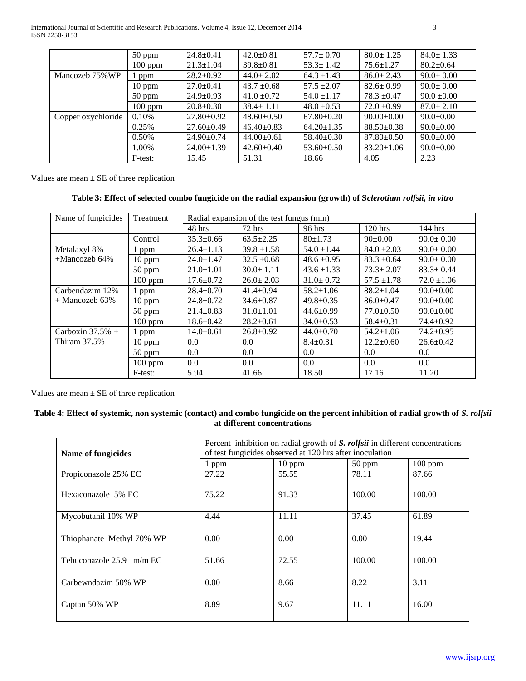International Journal of Scientific and Research Publications, Volume 4, Issue 12, December 2014 3 ISSN 2250-3153

|                    | $50$ ppm  | $24.8 \pm 0.41$  | $42.0 \pm 0.81$  | $57.7 \pm 0.70$  | $80.0 \pm 1.25$  | $84.0 \pm 1.33$ |
|--------------------|-----------|------------------|------------------|------------------|------------------|-----------------|
|                    | $100$ ppm | $21.3 \pm 1.04$  | $39.8 \pm 0.81$  | $53.3 \pm 1.42$  | $75.6 \pm 1.27$  | $80.2 \pm 0.64$ |
| Mancozeb 75% WP    | ppm       | $28.2 \pm 0.92$  | $44.0 \pm 2.02$  | $64.3 \pm 1.43$  | $86.0 \pm 2.43$  | $90.0 \pm 0.00$ |
|                    | $10$ ppm  | $27.0 \pm 0.41$  | $43.7 \pm 0.68$  | $57.5 \pm 2.07$  | $82.6 \pm 0.99$  | $90.0 \pm 0.00$ |
|                    | $50$ ppm  | $24.9 \pm 0.93$  | $41.0 \pm 0.72$  | $54.0 \pm 1.17$  | $78.3 \pm 0.47$  | $90.0 \pm 0.00$ |
|                    | $100$ ppm | $20.8 \pm 0.30$  | $38.4 \pm 1.11$  | $48.0 \pm 0.53$  | $72.0 \pm 0.99$  | $87.0 \pm 2.10$ |
| Copper oxychloride | 0.10%     | $27.80 \pm 0.92$ | $48.60 \pm 0.50$ | $67.80 \pm 0.20$ | $90.00 \pm 0.00$ | $90.0 \pm 0.00$ |
|                    | 0.25%     | $27.60 \pm 0.49$ | $46.40 \pm 0.83$ | $64.20 \pm 1.35$ | $88.50 \pm 0.38$ | $90.0 \pm 0.00$ |
|                    | 0.50%     | $24.90 \pm 0.74$ | $44.00 \pm 0.61$ | $58.40 \pm 0.30$ | $87.80 \pm 0.50$ | $90.0 \pm 0.00$ |
|                    | 1.00%     | $24.00 \pm 1.39$ | $42.60 \pm 0.40$ | $53.60 \pm 0.50$ | $83.20 \pm 1.06$ | $90.0 \pm 0.00$ |
|                    | F-test:   | 15.45            | 51.31            | 18.66            | 4.05             | 2.23            |

Values are mean  $\pm$  SE of three replication

## **Table 3: Effect of selected combo fungicide on the radial expansion (growth) of S***clerotium rolfsii, in vitro*

| Name of fungicides  | Treatment | Radial expansion of the test fungus (mm) |                 |                 |                 |                 |
|---------------------|-----------|------------------------------------------|-----------------|-----------------|-----------------|-----------------|
|                     |           | $48$ hrs                                 | $72$ hrs        | 96 hrs          | $120$ hrs       | $144$ hrs       |
|                     | Control   | $35.3 \pm 0.66$                          | $63.5 \pm 2.25$ | $80+1.73$       | $90 \pm 0.00$   | $90.0 \pm 0.00$ |
| Metalaxyl 8%        | ppm       | $26.4 \pm 1.13$                          | $39.8 \pm 1.58$ | $54.0 \pm 1.44$ | $84.0 \pm 2.03$ | $90.0 \pm 0.00$ |
| $+$ Mancozeb 64%    | $10$ ppm  | $24.0 \pm 1.47$                          | $32.5 \pm 0.68$ | $48.6 \pm 0.95$ | $83.3 \pm 0.64$ | $90.0 \pm 0.00$ |
|                     | $50$ ppm  | $21.0 \pm 1.01$                          | $30.0 \pm 1.11$ | $43.6 \pm 1.33$ | $73.3 \pm 2.07$ | $83.3 \pm 0.44$ |
|                     | $100$ ppm | $17.6 \pm 0.72$                          | $26.0 \pm 2.03$ | $31.0 \pm 0.72$ | $57.5 \pm 1.78$ | $72.0 \pm 1.06$ |
| Carbendazim 12%     | ppm       | $28.4 \pm 0.70$                          | $41.4 \pm 0.94$ | $58.2 \pm 1.06$ | $88.2 \pm 1.04$ | $90.0 \pm 0.00$ |
| $+$ Mancozeb 63%    | $10$ ppm  | $24.8 \pm 0.72$                          | $34.6 \pm 0.87$ | $49.8 \pm 0.35$ | $86.0 \pm 0.47$ | $90.0 \pm 0.00$ |
|                     | $50$ ppm  | $21.4 \pm 0.83$                          | $31.0 \pm 1.01$ | $44.6 \pm 0.99$ | $77.0 \pm 0.50$ | $90.0 \pm 0.00$ |
|                     | $100$ ppm | $18.6 \pm 0.42$                          | $28.2 \pm 0.61$ | $34.0 \pm 0.53$ | $58.4 \pm 0.31$ | $74.4 \pm 0.92$ |
| Carboxin $37.5%$ +  | l ppm     | $14.0 \pm 0.61$                          | $26.8 \pm 0.92$ | $44.0 \pm 0.70$ | $54.2 \pm 1.06$ | $74.2 \pm 0.95$ |
| <b>Thiram 37.5%</b> | $10$ ppm  | 0.0                                      | $0.0\,$         | $8.4 \pm 0.31$  | $12.2+0.60$     | $26.6 \pm 0.42$ |
|                     | $50$ ppm  | 0.0                                      | 0.0             | 0.0             | 0.0             | 0.0             |
|                     | $100$ ppm | 0.0                                      | 0.0             | 0.0             | 0.0             | 0.0             |
|                     | F-test:   | 5.94                                     | 41.66           | 18.50           | 17.16           | 11.20           |

Values are mean  $\pm$  SE of three replication

## **Table 4: Effect of systemic, non systemic (contact) and combo fungicide on the percent inhibition of radial growth of** *S. rolfsii* **at different concentrations**

|                            | Percent inhibition on radial growth of S. rolfsii in different concentrations |          |        |           |  |  |
|----------------------------|-------------------------------------------------------------------------------|----------|--------|-----------|--|--|
| Name of fungicides         | of test fungicides observed at 120 hrs after inoculation                      |          |        |           |  |  |
|                            | 1 ppm                                                                         | $10$ ppm | 50 ppm | $100$ ppm |  |  |
| Propiconazole 25% EC       | 27.22                                                                         | 55.55    | 78.11  | 87.66     |  |  |
| Hexaconazole 5% EC         | 75.22                                                                         | 91.33    | 100.00 | 100.00    |  |  |
| Mycobutanil 10% WP         | 4.44                                                                          | 11.11    | 37.45  | 61.89     |  |  |
| Thiophanate Methyl 70% WP  | 0.00                                                                          | 0.00     | 0.00   | 19.44     |  |  |
| Tebuconazole $25.9$ m/m EC | 51.66                                                                         | 72.55    | 100.00 | 100.00    |  |  |
| Carbewndazim 50% WP        | 0.00                                                                          | 8.66     | 8.22   | 3.11      |  |  |
| Captan 50% WP              | 8.89                                                                          | 9.67     | 11.11  | 16.00     |  |  |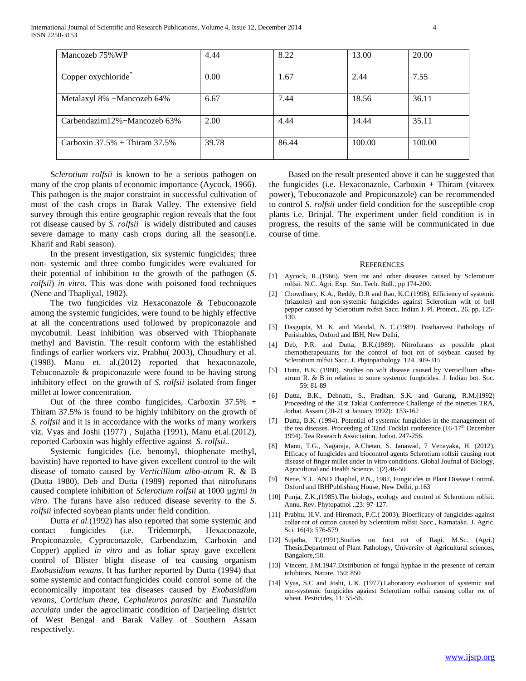| Mancozeb 75% WP                   | 4.44  | 8.22  | 13.00  | 20.00  |
|-----------------------------------|-------|-------|--------|--------|
|                                   |       |       |        |        |
| Copper oxychloride*               | 0.00  | 1.67  | 2.44   | 7.55   |
| Metalaxyl 8% +Mancozeb 64%        | 6.67  | 7.44  | 18.56  | 36.11  |
| Carbendazim12%+Mancozeb $63\%$    | 2.00  | 4.44  | 14.44  | 35.11  |
| Carboxin $37.5%$ + Thiram $37.5%$ | 39.78 | 86.44 | 100.00 | 100.00 |

 S*clerotium rolfsii* is known to be a serious pathogen on many of the crop plants of economic importance (Aycock, 1966). This pathogen is the major constraint in successful cultivation of most of the cash crops in Barak Valley. The extensive field survey through this entire geographic region reveals that the foot rot disease caused by *S. rolfsii* is widely distributed and causes severe damage to many cash crops during all the season(i.e. Kharif and Rabi season).

 In the present investigation, six systemic fungicides; three non- systemic and three combo fungicides were evaluated for their potential of inhibition to the growth of the pathogen (*S. rolfsii*) *in vitro.* This was done with poisoned food techniques (Nene and Thapliyal, 1982).

 The two fungicides viz Hexaconazole & Tebuconazole among the systemic fungicides, were found to be highly effective at all the concentrations used followed by propiconazole and mycobutnil. Least inhibition was observed with Thiophanate methyl and Bavistin. The result conform with the established findings of earlier workers viz. Prabhu( 2003), Choudhury et al. (1998). Manu et. al.(2012) reported that hexaconazole, Tebuconazole & propiconazole were found to be having strong inhibitory effect on the growth of *S. rolfsii* isolated from finger millet at lower concentration.

Out of the three combo fungicides, Carboxin  $37.5\%$  + Thiram 37.5% is found to be highly inhibitory on the growth of *S. rolfsii* and it is in accordance with the works of many workers viz. Vyas and Joshi (1977) , Sujatha (1991), Manu et.al.(2012), reported Carboxin was highly effective against *S. rolfsii..*

 Systemic fungicides (i.e. benomyl, thiophenate methyl, bavistin) have reported to have given excellent control to the wilt disease of tomato caused by *Verticillium albo-atrum* R. & B (Dutta 1980). Deb and Dutta (1989) reported that nitrofurans caused complete inhibition of *Sclerotium rolfsii* at 1000 µg/ml *in vitro*. The furans have also reduced disease severity to the *S. rolfsii* infected soybean plants under field condition.

 Dutta *et al.*(1992) has also reported that some systemic and contact fungicides (i.e. Tridemorph, Hexaconazole, Propiconazole, Cyproconazole, Carbendazim, Carboxin and Copper) applied *in vitro* and as foliar spray gave excellent control of Blister blight disease of tea causing organism *Exobasidium vexans*. It has further reported by Dutta (1994) that some systemic and contact fungicides could control some of the economically important tea diseases caused by *Exobasidium vexans, Corticium theae, Cephaleuros parasitic* and *Tunstallia acculata* under the agroclimatic condition of Darjeeling district of West Bengal and Barak Valley of Southern Assam respectively.

 Based on the result presented above it can be suggested that the fungicides (i.e. Hexaconazole, Carboxin + Thiram (vitavex power), Tebuconazole and Propiconazole) can be recommended to control *S. rolfsii* under field condition for the susceptible crop plants i.e. Brinjal. The experiment under field condition is in progress, the results of the same will be communicated in due course of time.

#### **REFERENCES**

- [1] Aycock, R..(1966). Stem rot and other diseases caused by Sclerotium rolfsii. N.C. Agri. Exp. Stn. Tech. Bull., pp 174-200.
- [2] Chowdhury, K.A., Reddy, D.R and Rao, K.C.(1998). Efficiency of systemic (triazoles) and non-systemic fungicides against Sclerotium wilt of bell pepper caused by Sclerotium rolfsii Sacc. Indian J. Pl. Protect., 26, pp. 125- 130.
- [3] Dasgupta, M. K. and Mandal, N. C.(1989). Postharvest Pathology of Perishables, Oxford and IBH, New Delhi,
- [4] Deb, P.R. and Dutta, B.K.(1989). Nitrofurans as possible plant chemotherapeutants for the control of foot rot of soybean caused by Sclerotium rolfsii Sacc. J. Phytopathology. 124. 309-315
- [5] Dutta, B.K. (1980). Studies on wilt disease caused by Verticillium alboatrum R. & B in relation to some systemic fungicides. J. Indian bot. Soc. 59: 81-89
- [6] Dutta, B.K., Debnath, S., Pradhan, S.K. and Gurung, R.M.(1992) Proceeding of the 31st Taklai Conferrence Challenge of the nineties TRA, Jorhat. Assam (20-21 st January 1992): 153-162
- [7] Dutta, B.K. (1994). Potential of systemic fungicides in the management of the tea diseases. Proceeding of 32nd Tocklai conference  $(16-17<sup>th</sup>$  December 1994). Tea Research Association, Jorhat. 247-256.
- [8] Manu, T.G., Nagaraja, A.Chetan, S. Janawad, 7 Venayaka, H. (2012). Efficacy of fungicides and biocontrol agents Sclerotium rolfsii causing root disease of finger millet under in vitro conditions. Global Joufnal of Biology, Agricultural and Health Science. 1(2).46-50
- [9] Nene, Y.L. AND Thaplial, P.N., 1982, Fungicides in Plant Disease Control. Oxford and IBHPublishing House, New Delhi, p.163
- [10] Punja, Z.K.,(1985). The biology, ecology and control of Sclerotium rolfsii. Annu. Rev. Phytopathol .,23: 97-127.
- [11] Prabhu, H.V. and Hiremath, P.C.( 2003), Bioefficacy of fungicides against collar rot of cotton caused by Sclerotium rolfsii Sacc., Karnataka. J. Agric. Sci. 16(4): 576-579
- [12] Sujatha, T.(1991).Studies on foot rot of Ragi. M.Sc. (Agri.) Thesis,Department of Plant Pathology, University of Agricultural sciences, Bangalore,:58.
- [13] Vincent, J.M.1947. Distribution of fungal hyphae in the presence of certain inhibitors. Nature. 150: 850
- [14] Vyas, S.C and Joshi, L.K. (1977).Laboratory evaluation of systemic and non-systemic fungicides against Sclerotium rolfsii causing collar rot of wheat. Pesticides, 11: 55-56.